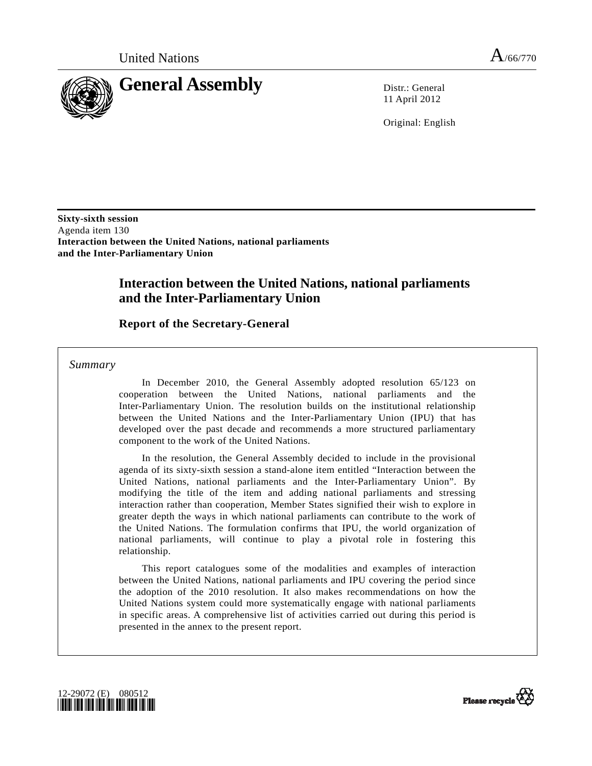

11 April 2012

Original: English

**Sixty-sixth session**  Agenda item 130 **Interaction between the United Nations, national parliaments and the Inter-Parliamentary Union** 

# **Interaction between the United Nations, national parliaments and the Inter-Parliamentary Union**

#### **Report of the Secretary-General**

 *Summary* 

 In December 2010, the General Assembly adopted resolution 65/123 on cooperation between the United Nations, national parliaments and the Inter-Parliamentary Union. The resolution builds on the institutional relationship between the United Nations and the Inter-Parliamentary Union (IPU) that has developed over the past decade and recommends a more structured parliamentary component to the work of the United Nations.

 In the resolution, the General Assembly decided to include in the provisional agenda of its sixty-sixth session a stand-alone item entitled "Interaction between the United Nations, national parliaments and the Inter-Parliamentary Union". By modifying the title of the item and adding national parliaments and stressing interaction rather than cooperation, Member States signified their wish to explore in greater depth the ways in which national parliaments can contribute to the work of the United Nations. The formulation confirms that IPU, the world organization of national parliaments, will continue to play a pivotal role in fostering this relationship.

 This report catalogues some of the modalities and examples of interaction between the United Nations, national parliaments and IPU covering the period since the adoption of the 2010 resolution. It also makes recommendations on how the United Nations system could more systematically engage with national parliaments in specific areas. A comprehensive list of activities carried out during this period is presented in the annex to the present report.



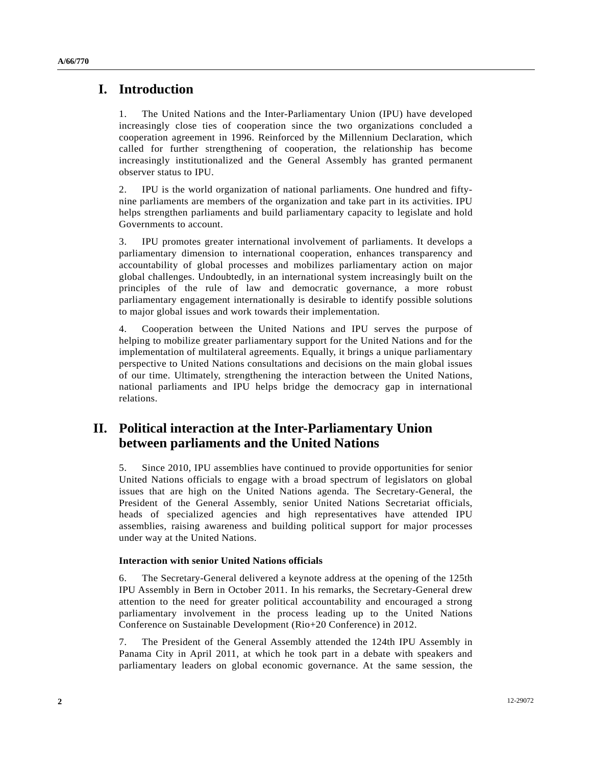### **I. Introduction**

1. The United Nations and the Inter-Parliamentary Union (IPU) have developed increasingly close ties of cooperation since the two organizations concluded a cooperation agreement in 1996. Reinforced by the Millennium Declaration, which called for further strengthening of cooperation, the relationship has become increasingly institutionalized and the General Assembly has granted permanent observer status to IPU.

2. IPU is the world organization of national parliaments. One hundred and fiftynine parliaments are members of the organization and take part in its activities. IPU helps strengthen parliaments and build parliamentary capacity to legislate and hold Governments to account.

3. IPU promotes greater international involvement of parliaments. It develops a parliamentary dimension to international cooperation, enhances transparency and accountability of global processes and mobilizes parliamentary action on major global challenges. Undoubtedly, in an international system increasingly built on the principles of the rule of law and democratic governance, a more robust parliamentary engagement internationally is desirable to identify possible solutions to major global issues and work towards their implementation.

4. Cooperation between the United Nations and IPU serves the purpose of helping to mobilize greater parliamentary support for the United Nations and for the implementation of multilateral agreements. Equally, it brings a unique parliamentary perspective to United Nations consultations and decisions on the main global issues of our time. Ultimately, strengthening the interaction between the United Nations, national parliaments and IPU helps bridge the democracy gap in international relations.

## **II. Political interaction at the Inter-Parliamentary Union between parliaments and the United Nations**

5. Since 2010, IPU assemblies have continued to provide opportunities for senior United Nations officials to engage with a broad spectrum of legislators on global issues that are high on the United Nations agenda. The Secretary-General, the President of the General Assembly, senior United Nations Secretariat officials, heads of specialized agencies and high representatives have attended IPU assemblies, raising awareness and building political support for major processes under way at the United Nations.

#### **Interaction with senior United Nations officials**

6. The Secretary-General delivered a keynote address at the opening of the 125th IPU Assembly in Bern in October 2011. In his remarks, the Secretary-General drew attention to the need for greater political accountability and encouraged a strong parliamentary involvement in the process leading up to the United Nations Conference on Sustainable Development (Rio+20 Conference) in 2012.

7. The President of the General Assembly attended the 124th IPU Assembly in Panama City in April 2011, at which he took part in a debate with speakers and parliamentary leaders on global economic governance. At the same session, the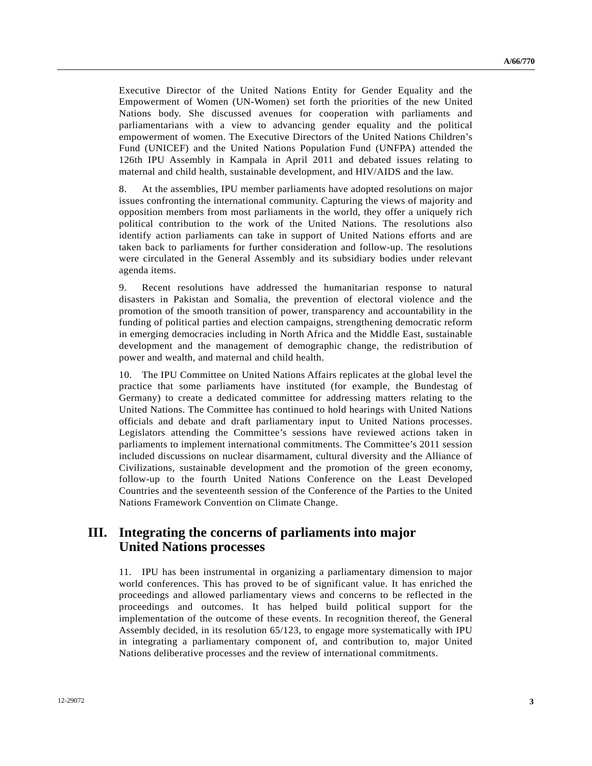Executive Director of the United Nations Entity for Gender Equality and the Empowerment of Women (UN-Women) set forth the priorities of the new United Nations body. She discussed avenues for cooperation with parliaments and parliamentarians with a view to advancing gender equality and the political empowerment of women. The Executive Directors of the United Nations Children's Fund (UNICEF) and the United Nations Population Fund (UNFPA) attended the 126th IPU Assembly in Kampala in April 2011 and debated issues relating to maternal and child health, sustainable development, and HIV/AIDS and the law.

8. At the assemblies, IPU member parliaments have adopted resolutions on major issues confronting the international community. Capturing the views of majority and opposition members from most parliaments in the world, they offer a uniquely rich political contribution to the work of the United Nations. The resolutions also identify action parliaments can take in support of United Nations efforts and are taken back to parliaments for further consideration and follow-up. The resolutions were circulated in the General Assembly and its subsidiary bodies under relevant agenda items.

9. Recent resolutions have addressed the humanitarian response to natural disasters in Pakistan and Somalia, the prevention of electoral violence and the promotion of the smooth transition of power, transparency and accountability in the funding of political parties and election campaigns, strengthening democratic reform in emerging democracies including in North Africa and the Middle East, sustainable development and the management of demographic change, the redistribution of power and wealth, and maternal and child health.

10. The IPU Committee on United Nations Affairs replicates at the global level the practice that some parliaments have instituted (for example, the Bundestag of Germany) to create a dedicated committee for addressing matters relating to the United Nations. The Committee has continued to hold hearings with United Nations officials and debate and draft parliamentary input to United Nations processes. Legislators attending the Committee's sessions have reviewed actions taken in parliaments to implement international commitments. The Committee's 2011 session included discussions on nuclear disarmament, cultural diversity and the Alliance of Civilizations, sustainable development and the promotion of the green economy, follow-up to the fourth United Nations Conference on the Least Developed Countries and the seventeenth session of the Conference of the Parties to the United Nations Framework Convention on Climate Change.

## **III. Integrating the concerns of parliaments into major United Nations processes**

11. IPU has been instrumental in organizing a parliamentary dimension to major world conferences. This has proved to be of significant value. It has enriched the proceedings and allowed parliamentary views and concerns to be reflected in the proceedings and outcomes. It has helped build political support for the implementation of the outcome of these events. In recognition thereof, the General Assembly decided, in its resolution 65/123, to engage more systematically with IPU in integrating a parliamentary component of, and contribution to, major United Nations deliberative processes and the review of international commitments.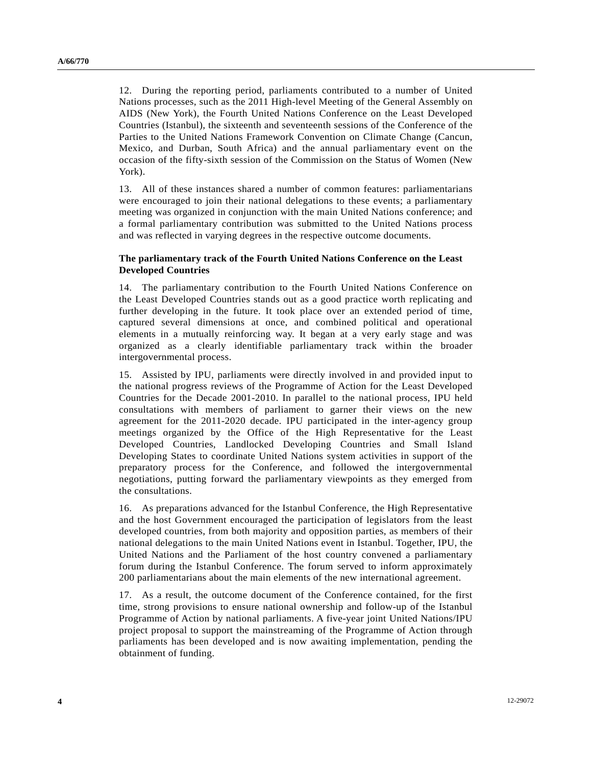12. During the reporting period, parliaments contributed to a number of United Nations processes, such as the 2011 High-level Meeting of the General Assembly on AIDS (New York), the Fourth United Nations Conference on the Least Developed Countries (Istanbul), the sixteenth and seventeenth sessions of the Conference of the Parties to the United Nations Framework Convention on Climate Change (Cancun, Mexico, and Durban, South Africa) and the annual parliamentary event on the occasion of the fifty-sixth session of the Commission on the Status of Women (New York).

13. All of these instances shared a number of common features: parliamentarians were encouraged to join their national delegations to these events; a parliamentary meeting was organized in conjunction with the main United Nations conference; and a formal parliamentary contribution was submitted to the United Nations process and was reflected in varying degrees in the respective outcome documents.

#### **The parliamentary track of the Fourth United Nations Conference on the Least Developed Countries**

14. The parliamentary contribution to the Fourth United Nations Conference on the Least Developed Countries stands out as a good practice worth replicating and further developing in the future. It took place over an extended period of time, captured several dimensions at once, and combined political and operational elements in a mutually reinforcing way. It began at a very early stage and was organized as a clearly identifiable parliamentary track within the broader intergovernmental process.

15. Assisted by IPU, parliaments were directly involved in and provided input to the national progress reviews of the Programme of Action for the Least Developed Countries for the Decade 2001-2010. In parallel to the national process, IPU held consultations with members of parliament to garner their views on the new agreement for the 2011-2020 decade. IPU participated in the inter-agency group meetings organized by the Office of the High Representative for the Least Developed Countries, Landlocked Developing Countries and Small Island Developing States to coordinate United Nations system activities in support of the preparatory process for the Conference, and followed the intergovernmental negotiations, putting forward the parliamentary viewpoints as they emerged from the consultations.

16. As preparations advanced for the Istanbul Conference, the High Representative and the host Government encouraged the participation of legislators from the least developed countries, from both majority and opposition parties, as members of their national delegations to the main United Nations event in Istanbul. Together, IPU, the United Nations and the Parliament of the host country convened a parliamentary forum during the Istanbul Conference. The forum served to inform approximately 200 parliamentarians about the main elements of the new international agreement.

17. As a result, the outcome document of the Conference contained, for the first time, strong provisions to ensure national ownership and follow-up of the Istanbul Programme of Action by national parliaments. A five-year joint United Nations/IPU project proposal to support the mainstreaming of the Programme of Action through parliaments has been developed and is now awaiting implementation, pending the obtainment of funding.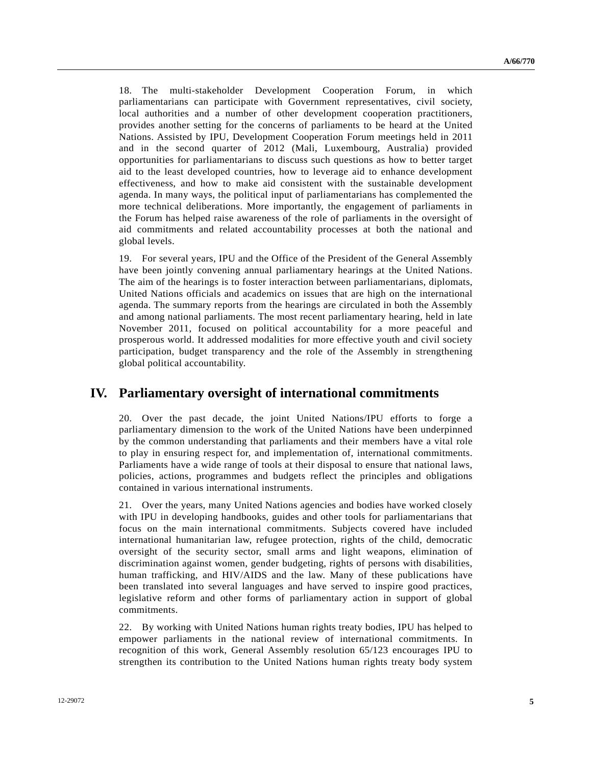18. The multi-stakeholder Development Cooperation Forum, in which parliamentarians can participate with Government representatives, civil society, local authorities and a number of other development cooperation practitioners, provides another setting for the concerns of parliaments to be heard at the United Nations. Assisted by IPU, Development Cooperation Forum meetings held in 2011 and in the second quarter of 2012 (Mali, Luxembourg, Australia) provided opportunities for parliamentarians to discuss such questions as how to better target aid to the least developed countries, how to leverage aid to enhance development effectiveness, and how to make aid consistent with the sustainable development agenda. In many ways, the political input of parliamentarians has complemented the more technical deliberations. More importantly, the engagement of parliaments in the Forum has helped raise awareness of the role of parliaments in the oversight of aid commitments and related accountability processes at both the national and global levels.

19. For several years, IPU and the Office of the President of the General Assembly have been jointly convening annual parliamentary hearings at the United Nations. The aim of the hearings is to foster interaction between parliamentarians, diplomats, United Nations officials and academics on issues that are high on the international agenda. The summary reports from the hearings are circulated in both the Assembly and among national parliaments. The most recent parliamentary hearing, held in late November 2011, focused on political accountability for a more peaceful and prosperous world. It addressed modalities for more effective youth and civil society participation, budget transparency and the role of the Assembly in strengthening global political accountability.

## **IV. Parliamentary oversight of international commitments**

20. Over the past decade, the joint United Nations/IPU efforts to forge a parliamentary dimension to the work of the United Nations have been underpinned by the common understanding that parliaments and their members have a vital role to play in ensuring respect for, and implementation of, international commitments. Parliaments have a wide range of tools at their disposal to ensure that national laws, policies, actions, programmes and budgets reflect the principles and obligations contained in various international instruments.

21. Over the years, many United Nations agencies and bodies have worked closely with IPU in developing handbooks, guides and other tools for parliamentarians that focus on the main international commitments. Subjects covered have included international humanitarian law, refugee protection, rights of the child, democratic oversight of the security sector, small arms and light weapons, elimination of discrimination against women, gender budgeting, rights of persons with disabilities, human trafficking, and HIV/AIDS and the law. Many of these publications have been translated into several languages and have served to inspire good practices, legislative reform and other forms of parliamentary action in support of global commitments.

22. By working with United Nations human rights treaty bodies, IPU has helped to empower parliaments in the national review of international commitments. In recognition of this work, General Assembly resolution 65/123 encourages IPU to strengthen its contribution to the United Nations human rights treaty body system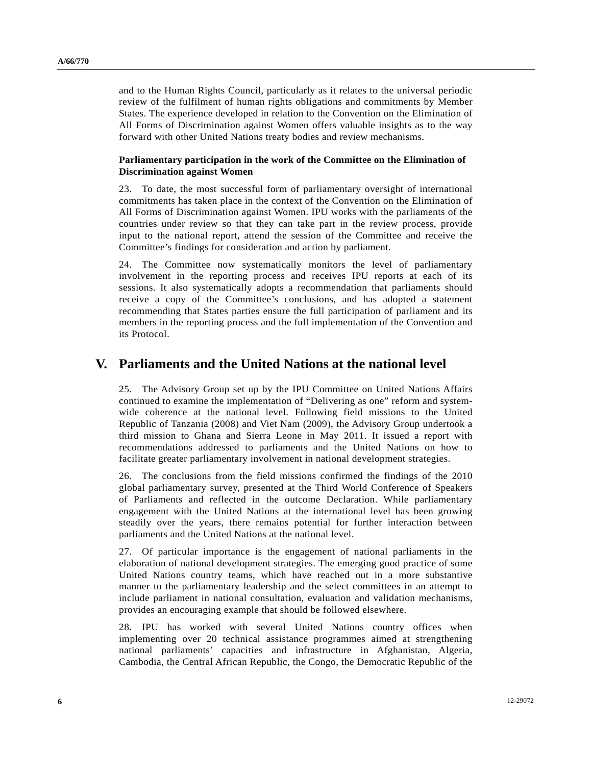and to the Human Rights Council, particularly as it relates to the universal periodic review of the fulfilment of human rights obligations and commitments by Member States. The experience developed in relation to the Convention on the Elimination of All Forms of Discrimination against Women offers valuable insights as to the way forward with other United Nations treaty bodies and review mechanisms.

#### **Parliamentary participation in the work of the Committee on the Elimination of Discrimination against Women**

23. To date, the most successful form of parliamentary oversight of international commitments has taken place in the context of the Convention on the Elimination of All Forms of Discrimination against Women. IPU works with the parliaments of the countries under review so that they can take part in the review process, provide input to the national report, attend the session of the Committee and receive the Committee's findings for consideration and action by parliament.

24. The Committee now systematically monitors the level of parliamentary involvement in the reporting process and receives IPU reports at each of its sessions. It also systematically adopts a recommendation that parliaments should receive a copy of the Committee's conclusions, and has adopted a statement recommending that States parties ensure the full participation of parliament and its members in the reporting process and the full implementation of the Convention and its Protocol.

#### **V. Parliaments and the United Nations at the national level**

25. The Advisory Group set up by the IPU Committee on United Nations Affairs continued to examine the implementation of "Delivering as one" reform and systemwide coherence at the national level. Following field missions to the United Republic of Tanzania (2008) and Viet Nam (2009), the Advisory Group undertook a third mission to Ghana and Sierra Leone in May 2011. It issued a report with recommendations addressed to parliaments and the United Nations on how to facilitate greater parliamentary involvement in national development strategies.

26. The conclusions from the field missions confirmed the findings of the 2010 global parliamentary survey, presented at the Third World Conference of Speakers of Parliaments and reflected in the outcome Declaration. While parliamentary engagement with the United Nations at the international level has been growing steadily over the years, there remains potential for further interaction between parliaments and the United Nations at the national level.

27. Of particular importance is the engagement of national parliaments in the elaboration of national development strategies. The emerging good practice of some United Nations country teams, which have reached out in a more substantive manner to the parliamentary leadership and the select committees in an attempt to include parliament in national consultation, evaluation and validation mechanisms, provides an encouraging example that should be followed elsewhere.

28. IPU has worked with several United Nations country offices when implementing over 20 technical assistance programmes aimed at strengthening national parliaments' capacities and infrastructure in Afghanistan, Algeria, Cambodia, the Central African Republic, the Congo, the Democratic Republic of the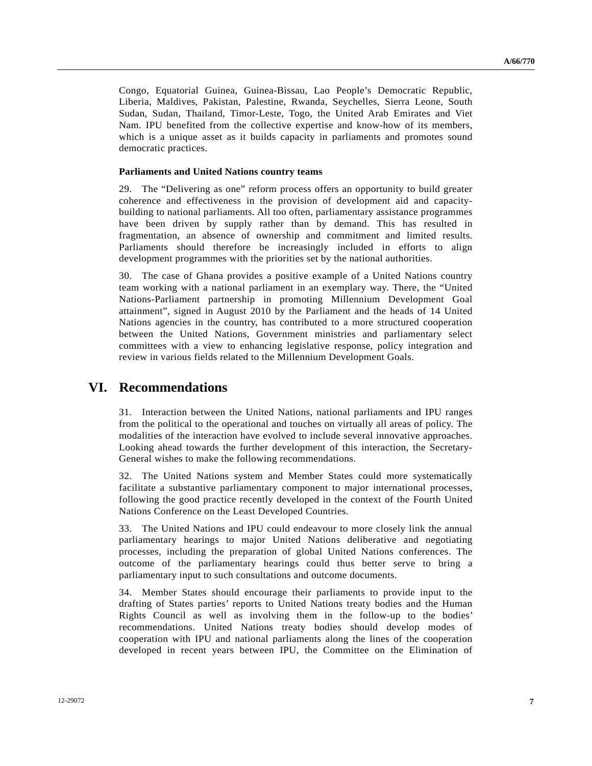Congo, Equatorial Guinea, Guinea-Bissau, Lao People's Democratic Republic, Liberia, Maldives, Pakistan, Palestine, Rwanda, Seychelles, Sierra Leone, South Sudan, Sudan, Thailand, Timor-Leste, Togo, the United Arab Emirates and Viet Nam. IPU benefited from the collective expertise and know-how of its members, which is a unique asset as it builds capacity in parliaments and promotes sound democratic practices.

#### **Parliaments and United Nations country teams**

29. The "Delivering as one" reform process offers an opportunity to build greater coherence and effectiveness in the provision of development aid and capacitybuilding to national parliaments. All too often, parliamentary assistance programmes have been driven by supply rather than by demand. This has resulted in fragmentation, an absence of ownership and commitment and limited results. Parliaments should therefore be increasingly included in efforts to align development programmes with the priorities set by the national authorities.

30. The case of Ghana provides a positive example of a United Nations country team working with a national parliament in an exemplary way. There, the "United Nations-Parliament partnership in promoting Millennium Development Goal attainment", signed in August 2010 by the Parliament and the heads of 14 United Nations agencies in the country, has contributed to a more structured cooperation between the United Nations, Government ministries and parliamentary select committees with a view to enhancing legislative response, policy integration and review in various fields related to the Millennium Development Goals.

#### **VI. Recommendations**

31. Interaction between the United Nations, national parliaments and IPU ranges from the political to the operational and touches on virtually all areas of policy. The modalities of the interaction have evolved to include several innovative approaches. Looking ahead towards the further development of this interaction, the Secretary-General wishes to make the following recommendations.

32. The United Nations system and Member States could more systematically facilitate a substantive parliamentary component to major international processes, following the good practice recently developed in the context of the Fourth United Nations Conference on the Least Developed Countries.

33. The United Nations and IPU could endeavour to more closely link the annual parliamentary hearings to major United Nations deliberative and negotiating processes, including the preparation of global United Nations conferences. The outcome of the parliamentary hearings could thus better serve to bring a parliamentary input to such consultations and outcome documents.

34. Member States should encourage their parliaments to provide input to the drafting of States parties' reports to United Nations treaty bodies and the Human Rights Council as well as involving them in the follow-up to the bodies' recommendations. United Nations treaty bodies should develop modes of cooperation with IPU and national parliaments along the lines of the cooperation developed in recent years between IPU, the Committee on the Elimination of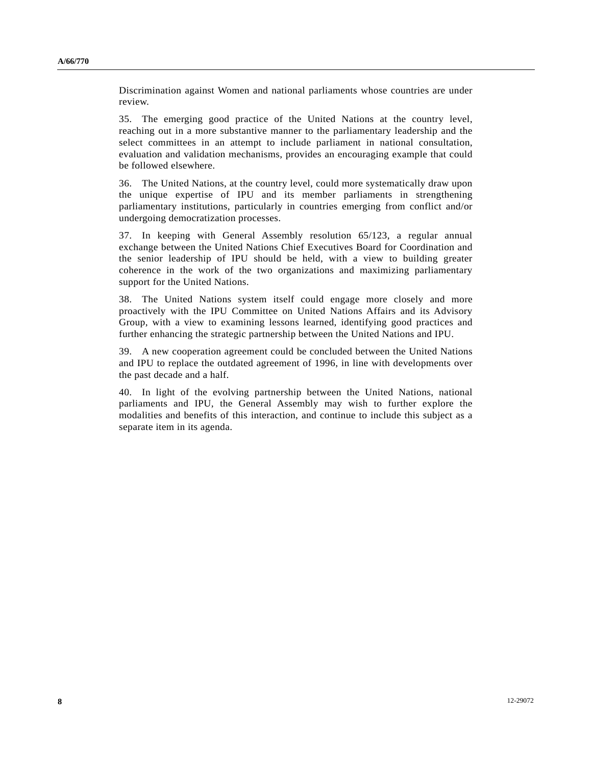Discrimination against Women and national parliaments whose countries are under review.

35. The emerging good practice of the United Nations at the country level, reaching out in a more substantive manner to the parliamentary leadership and the select committees in an attempt to include parliament in national consultation, evaluation and validation mechanisms, provides an encouraging example that could be followed elsewhere.

36. The United Nations, at the country level, could more systematically draw upon the unique expertise of IPU and its member parliaments in strengthening parliamentary institutions, particularly in countries emerging from conflict and/or undergoing democratization processes.

37. In keeping with General Assembly resolution 65/123, a regular annual exchange between the United Nations Chief Executives Board for Coordination and the senior leadership of IPU should be held, with a view to building greater coherence in the work of the two organizations and maximizing parliamentary support for the United Nations.

38. The United Nations system itself could engage more closely and more proactively with the IPU Committee on United Nations Affairs and its Advisory Group, with a view to examining lessons learned, identifying good practices and further enhancing the strategic partnership between the United Nations and IPU.

39. A new cooperation agreement could be concluded between the United Nations and IPU to replace the outdated agreement of 1996, in line with developments over the past decade and a half.

40. In light of the evolving partnership between the United Nations, national parliaments and IPU, the General Assembly may wish to further explore the modalities and benefits of this interaction, and continue to include this subject as a separate item in its agenda.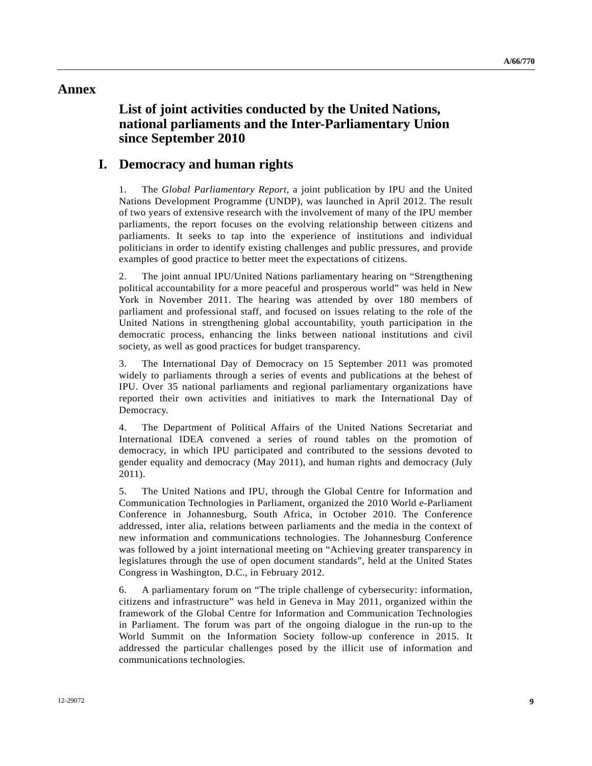#### **Annex**

# **List of joint activities conducted by the United Nations, national parliaments and the Inter-Parliamentary Union since September 2010**

#### **I. Democracy and human rights**

1. The *Global Parliamentary Report*, a joint publication by IPU and the United Nations Development Programme (UNDP), was launched in April 2012. The result of two years of extensive research with the involvement of many of the IPU member parliaments, the report focuses on the evolving relationship between citizens and parliaments. It seeks to tap into the experience of institutions and individual politicians in order to identify existing challenges and public pressures, and provide examples of good practice to better meet the expectations of citizens.

2. The joint annual IPU/United Nations parliamentary hearing on "Strengthening political accountability for a more peaceful and prosperous world" was held in New York in November 2011. The hearing was attended by over 180 members of parliament and professional staff, and focused on issues relating to the role of the United Nations in strengthening global accountability, youth participation in the democratic process, enhancing the links between national institutions and civil society, as well as good practices for budget transparency.

3. The International Day of Democracy on 15 September 2011 was promoted widely to parliaments through a series of events and publications at the behest of IPU. Over 35 national parliaments and regional parliamentary organizations have reported their own activities and initiatives to mark the International Day of Democracy.

4. The Department of Political Affairs of the United Nations Secretariat and International IDEA convened a series of round tables on the promotion of democracy, in which IPU participated and contributed to the sessions devoted to gender equality and democracy (May 2011), and human rights and democracy (July 2011).

5. The United Nations and IPU, through the Global Centre for Information and Communication Technologies in Parliament, organized the 2010 World e-Parliament Conference in Johannesburg, South Africa, in October 2010. The Conference addressed, inter alia, relations between parliaments and the media in the context of new information and communications technologies. The Johannesburg Conference was followed by a joint international meeting on "Achieving greater transparency in legislatures through the use of open document standards", held at the United States Congress in Washington, D.C., in February 2012.

6. A parliamentary forum on "The triple challenge of cybersecurity: information, citizens and infrastructure" was held in Geneva in May 2011, organized within the framework of the Global Centre for Information and Communication Technologies in Parliament. The forum was part of the ongoing dialogue in the run-up to the World Summit on the Information Society follow-up conference in 2015. It addressed the particular challenges posed by the illicit use of information and communications technologies.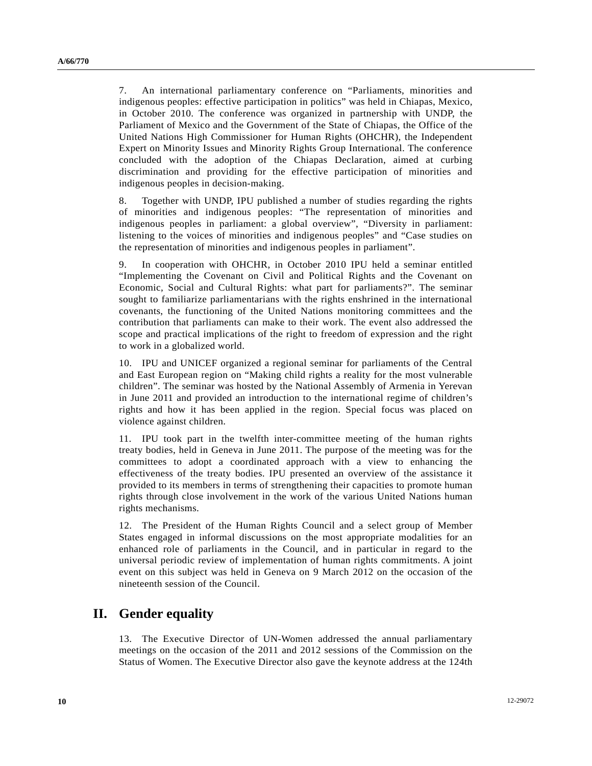7. An international parliamentary conference on "Parliaments, minorities and indigenous peoples: effective participation in politics" was held in Chiapas, Mexico, in October 2010. The conference was organized in partnership with UNDP, the Parliament of Mexico and the Government of the State of Chiapas, the Office of the United Nations High Commissioner for Human Rights (OHCHR), the Independent Expert on Minority Issues and Minority Rights Group International. The conference concluded with the adoption of the Chiapas Declaration, aimed at curbing discrimination and providing for the effective participation of minorities and indigenous peoples in decision-making.

8. Together with UNDP, IPU published a number of studies regarding the rights of minorities and indigenous peoples: "The representation of minorities and indigenous peoples in parliament: a global overview", "Diversity in parliament: listening to the voices of minorities and indigenous peoples" and "Case studies on the representation of minorities and indigenous peoples in parliament".

9. In cooperation with OHCHR, in October 2010 IPU held a seminar entitled "Implementing the Covenant on Civil and Political Rights and the Covenant on Economic, Social and Cultural Rights: what part for parliaments?". The seminar sought to familiarize parliamentarians with the rights enshrined in the international covenants, the functioning of the United Nations monitoring committees and the contribution that parliaments can make to their work. The event also addressed the scope and practical implications of the right to freedom of expression and the right to work in a globalized world.

10. IPU and UNICEF organized a regional seminar for parliaments of the Central and East European region on "Making child rights a reality for the most vulnerable children". The seminar was hosted by the National Assembly of Armenia in Yerevan in June 2011 and provided an introduction to the international regime of children's rights and how it has been applied in the region. Special focus was placed on violence against children.

11. IPU took part in the twelfth inter-committee meeting of the human rights treaty bodies, held in Geneva in June 2011. The purpose of the meeting was for the committees to adopt a coordinated approach with a view to enhancing the effectiveness of the treaty bodies. IPU presented an overview of the assistance it provided to its members in terms of strengthening their capacities to promote human rights through close involvement in the work of the various United Nations human rights mechanisms.

12. The President of the Human Rights Council and a select group of Member States engaged in informal discussions on the most appropriate modalities for an enhanced role of parliaments in the Council, and in particular in regard to the universal periodic review of implementation of human rights commitments. A joint event on this subject was held in Geneva on 9 March 2012 on the occasion of the nineteenth session of the Council.

# **II. Gender equality**

13. The Executive Director of UN-Women addressed the annual parliamentary meetings on the occasion of the 2011 and 2012 sessions of the Commission on the Status of Women. The Executive Director also gave the keynote address at the 124th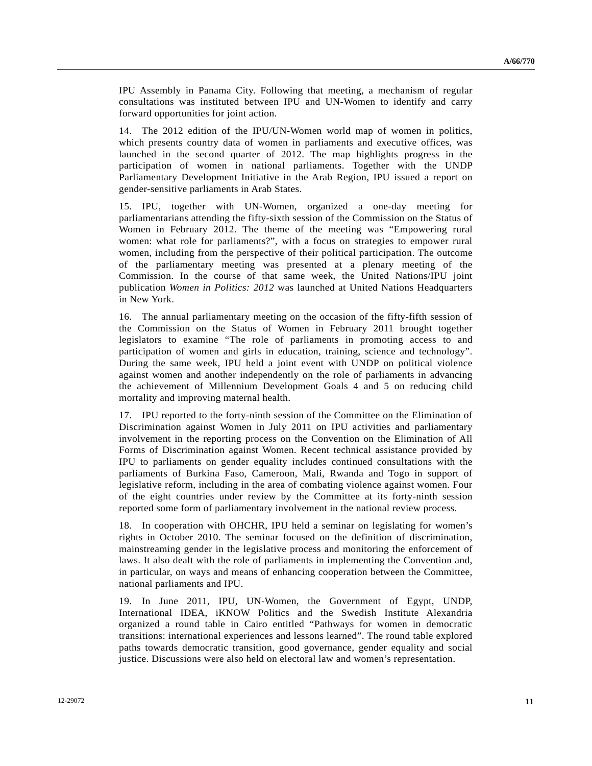IPU Assembly in Panama City. Following that meeting, a mechanism of regular consultations was instituted between IPU and UN-Women to identify and carry forward opportunities for joint action.

14. The 2012 edition of the IPU/UN-Women world map of women in politics, which presents country data of women in parliaments and executive offices, was launched in the second quarter of 2012. The map highlights progress in the participation of women in national parliaments. Together with the UNDP Parliamentary Development Initiative in the Arab Region, IPU issued a report on gender-sensitive parliaments in Arab States.

15. IPU, together with UN-Women, organized a one-day meeting for parliamentarians attending the fifty-sixth session of the Commission on the Status of Women in February 2012. The theme of the meeting was "Empowering rural women: what role for parliaments?", with a focus on strategies to empower rural women, including from the perspective of their political participation. The outcome of the parliamentary meeting was presented at a plenary meeting of the Commission. In the course of that same week, the United Nations/IPU joint publication *Women in Politics: 2012* was launched at United Nations Headquarters in New York.

16. The annual parliamentary meeting on the occasion of the fifty-fifth session of the Commission on the Status of Women in February 2011 brought together legislators to examine "The role of parliaments in promoting access to and participation of women and girls in education, training, science and technology". During the same week, IPU held a joint event with UNDP on political violence against women and another independently on the role of parliaments in advancing the achievement of Millennium Development Goals 4 and 5 on reducing child mortality and improving maternal health.

17. IPU reported to the forty-ninth session of the Committee on the Elimination of Discrimination against Women in July 2011 on IPU activities and parliamentary involvement in the reporting process on the Convention on the Elimination of All Forms of Discrimination against Women. Recent technical assistance provided by IPU to parliaments on gender equality includes continued consultations with the parliaments of Burkina Faso, Cameroon, Mali, Rwanda and Togo in support of legislative reform, including in the area of combating violence against women. Four of the eight countries under review by the Committee at its forty-ninth session reported some form of parliamentary involvement in the national review process.

18. In cooperation with OHCHR, IPU held a seminar on legislating for women's rights in October 2010. The seminar focused on the definition of discrimination, mainstreaming gender in the legislative process and monitoring the enforcement of laws. It also dealt with the role of parliaments in implementing the Convention and, in particular, on ways and means of enhancing cooperation between the Committee, national parliaments and IPU.

19. In June 2011, IPU, UN-Women, the Government of Egypt, UNDP, International IDEA, iKNOW Politics and the Swedish Institute Alexandria organized a round table in Cairo entitled "Pathways for women in democratic transitions: international experiences and lessons learned". The round table explored paths towards democratic transition, good governance, gender equality and social justice. Discussions were also held on electoral law and women's representation.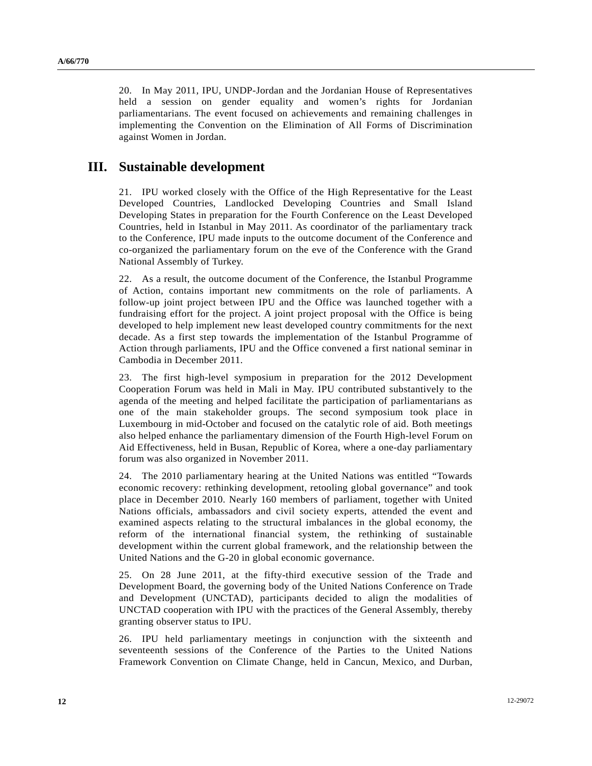20. In May 2011, IPU, UNDP-Jordan and the Jordanian House of Representatives held a session on gender equality and women's rights for Jordanian parliamentarians. The event focused on achievements and remaining challenges in implementing the Convention on the Elimination of All Forms of Discrimination against Women in Jordan.

## **III. Sustainable development**

21. IPU worked closely with the Office of the High Representative for the Least Developed Countries, Landlocked Developing Countries and Small Island Developing States in preparation for the Fourth Conference on the Least Developed Countries, held in Istanbul in May 2011. As coordinator of the parliamentary track to the Conference, IPU made inputs to the outcome document of the Conference and co-organized the parliamentary forum on the eve of the Conference with the Grand National Assembly of Turkey.

22. As a result, the outcome document of the Conference, the Istanbul Programme of Action, contains important new commitments on the role of parliaments. A follow-up joint project between IPU and the Office was launched together with a fundraising effort for the project. A joint project proposal with the Office is being developed to help implement new least developed country commitments for the next decade. As a first step towards the implementation of the Istanbul Programme of Action through parliaments, IPU and the Office convened a first national seminar in Cambodia in December 2011.

23. The first high-level symposium in preparation for the 2012 Development Cooperation Forum was held in Mali in May. IPU contributed substantively to the agenda of the meeting and helped facilitate the participation of parliamentarians as one of the main stakeholder groups. The second symposium took place in Luxembourg in mid-October and focused on the catalytic role of aid. Both meetings also helped enhance the parliamentary dimension of the Fourth High-level Forum on Aid Effectiveness, held in Busan, Republic of Korea, where a one-day parliamentary forum was also organized in November 2011.

24. The 2010 parliamentary hearing at the United Nations was entitled "Towards economic recovery: rethinking development, retooling global governance" and took place in December 2010. Nearly 160 members of parliament, together with United Nations officials, ambassadors and civil society experts, attended the event and examined aspects relating to the structural imbalances in the global economy, the reform of the international financial system, the rethinking of sustainable development within the current global framework, and the relationship between the United Nations and the G-20 in global economic governance.

25. On 28 June 2011, at the fifty-third executive session of the Trade and Development Board, the governing body of the United Nations Conference on Trade and Development (UNCTAD), participants decided to align the modalities of UNCTAD cooperation with IPU with the practices of the General Assembly, thereby granting observer status to IPU.

26. IPU held parliamentary meetings in conjunction with the sixteenth and seventeenth sessions of the Conference of the Parties to the United Nations Framework Convention on Climate Change, held in Cancun, Mexico, and Durban,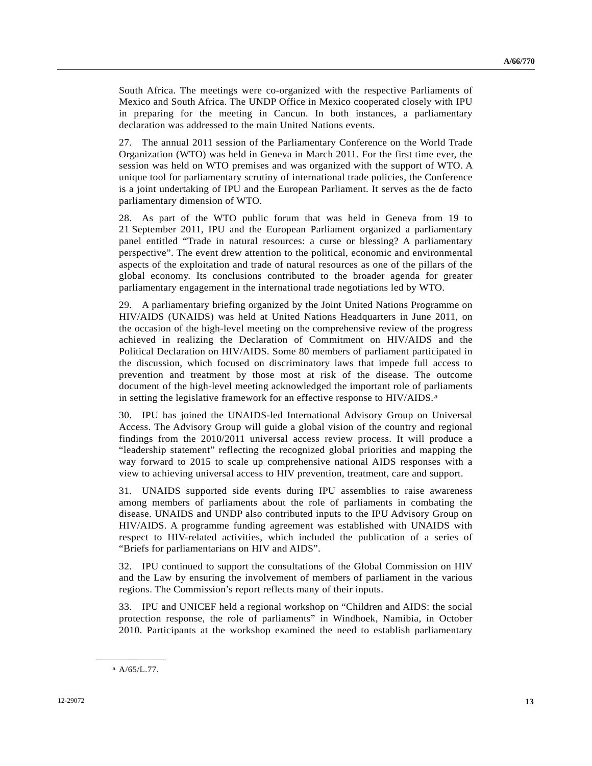South Africa. The meetings were co-organized with the respective Parliaments of Mexico and South Africa. The UNDP Office in Mexico cooperated closely with IPU in preparing for the meeting in Cancun. In both instances, a parliamentary declaration was addressed to the main United Nations events.

27. The annual 2011 session of the Parliamentary Conference on the World Trade Organization (WTO) was held in Geneva in March 2011. For the first time ever, the session was held on WTO premises and was organized with the support of WTO. A unique tool for parliamentary scrutiny of international trade policies, the Conference is a joint undertaking of IPU and the European Parliament. It serves as the de facto parliamentary dimension of WTO.

28. As part of the WTO public forum that was held in Geneva from 19 to 21 September 2011, IPU and the European Parliament organized a parliamentary panel entitled "Trade in natural resources: a curse or blessing? A parliamentary perspective". The event drew attention to the political, economic and environmental aspects of the exploitation and trade of natural resources as one of the pillars of the global economy. Its conclusions contributed to the broader agenda for greater parliamentary engagement in the international trade negotiations led by WTO.

29. A parliamentary briefing organized by the Joint United Nations Programme on HIV/AIDS (UNAIDS) was held at United Nations Headquarters in June 2011, on the occasion of the high-level meeting on the comprehensive review of the progress achieved in realizing the Declaration of Commitment on HIV/AIDS and the Political Declaration on HIV/AIDS. Some 80 members of parliament participated in the discussion, which focused on discriminatory laws that impede full access to prevention and treatment by those most at risk of the disease. The outcome document of the high-level meeting acknowledged the important role of parliaments in setting the legislative framework for an effective response to HIV/AIDS.<sup>a</sup>

30. IPU has joined the UNAIDS-led International Advisory Group on Universal Access. The Advisory Group will guide a global vision of the country and regional findings from the 2010/2011 universal access review process. It will produce a "leadership statement" reflecting the recognized global priorities and mapping the way forward to 2015 to scale up comprehensive national AIDS responses with a view to achieving universal access to HIV prevention, treatment, care and support.

31. UNAIDS supported side events during IPU assemblies to raise awareness among members of parliaments about the role of parliaments in combating the disease. UNAIDS and UNDP also contributed inputs to the IPU Advisory Group on HIV/AIDS. A programme funding agreement was established with UNAIDS with respect to HIV-related activities, which included the publication of a series of "Briefs for parliamentarians on HIV and AIDS".

32. IPU continued to support the consultations of the Global Commission on HIV and the Law by ensuring the involvement of members of parliament in the various regions. The Commission's report reflects many of their inputs.

33. IPU and UNICEF held a regional workshop on "Children and AIDS: the social protection response, the role of parliaments" in Windhoek, Namibia, in October 2010. Participants at the workshop examined the need to establish parliamentary

<span id="page-12-0"></span>**\_\_\_\_\_\_\_\_\_\_\_\_\_\_\_\_\_\_**  a A/65/L.77.